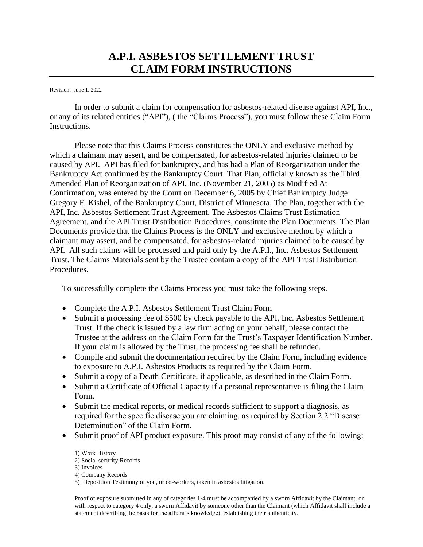# **A.P.I. ASBESTOS SETTLEMENT TRUST CLAIM FORM INSTRUCTIONS**

Revision: June 1, 2022

In order to submit a claim for compensation for asbestos-related disease against API, Inc., or any of its related entities ("API"), ( the "Claims Process"), you must follow these Claim Form Instructions.

Please note that this Claims Process constitutes the ONLY and exclusive method by which a claimant may assert, and be compensated, for asbestos-related injuries claimed to be caused by API. API has filed for bankruptcy, and has had a Plan of Reorganization under the Bankruptcy Act confirmed by the Bankruptcy Court. That Plan, officially known as the Third Amended Plan of Reorganization of API, Inc. (November 21, 2005) as Modified At Confirmation, was entered by the Court on December 6, 2005 by Chief Bankruptcy Judge Gregory F. Kishel, of the Bankruptcy Court, District of Minnesota. The Plan, together with the API, Inc. Asbestos Settlement Trust Agreement, The Asbestos Claims Trust Estimation Agreement, and the API Trust Distribution Procedures, constitute the Plan Documents. The Plan Documents provide that the Claims Process is the ONLY and exclusive method by which a claimant may assert, and be compensated, for asbestos-related injuries claimed to be caused by API. All such claims will be processed and paid only by the A.P.I., Inc. Asbestos Settlement Trust. The Claims Materials sent by the Trustee contain a copy of the API Trust Distribution Procedures.

To successfully complete the Claims Process you must take the following steps.

- Complete the A.P.I. Asbestos Settlement Trust Claim Form
- Submit a processing fee of \$500 by check payable to the API, Inc. Asbestos Settlement Trust. If the check is issued by a law firm acting on your behalf, please contact the Trustee at the address on the Claim Form for the Trust's Taxpayer Identification Number. If your claim is allowed by the Trust, the processing fee shall be refunded.
- Compile and submit the documentation required by the Claim Form, including evidence to exposure to A.P.I. Asbestos Products as required by the Claim Form.
- Submit a copy of a Death Certificate, if applicable, as described in the Claim Form.
- Submit a Certificate of Official Capacity if a personal representative is filing the Claim Form.
- Submit the medical reports, or medical records sufficient to support a diagnosis, as required for the specific disease you are claiming, as required by Section 2.2 "Disease Determination" of the Claim Form.
- Submit proof of API product exposure. This proof may consist of any of the following:

1) Work History 2) Social security Records 3) Invoices 4) Company Records 5) Deposition Testimony of you, or co-workers, taken in asbestos litigation.

Proof of exposure submitted in any of categories 1-4 must be accompanied by a sworn Affidavit by the Claimant, or with respect to category 4 only, a sworn Affidavit by someone other than the Claimant (which Affidavit shall include a statement describing the basis for the affiant's knowledge), establishing their authenticity.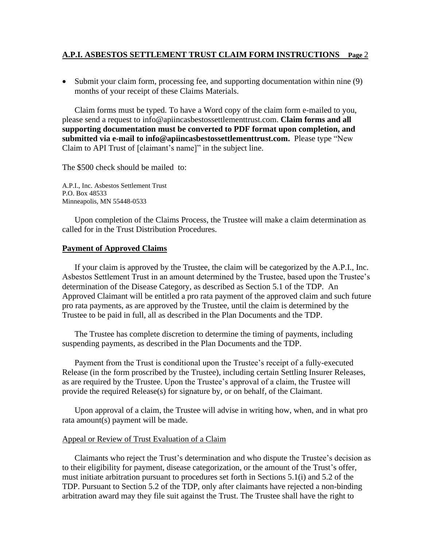## **A.P.I. ASBESTOS SETTLEMENT TRUST CLAIM FORM INSTRUCTIONS Page** 2

• Submit your claim form, processing fee, and supporting documentation within nine (9) months of your receipt of these Claims Materials.

Claim forms must be typed. To have a Word copy of the claim form e-mailed to you, please send a request to info@apiincasbestossettlementtrust.com. **Claim forms and all supporting documentation must be converted to PDF format upon completion, and submitted via e-mail to info@apiincasbestossettlementtrust.com.** Please type "New Claim to API Trust of [claimant's name]" in the subject line.

The \$500 check should be mailed to:

A.P.I., Inc. Asbestos Settlement Trust P.O. Box 48533 Minneapolis, MN 55448-0533

Upon completion of the Claims Process, the Trustee will make a claim determination as called for in the Trust Distribution Procedures.

## **Payment of Approved Claims**

If your claim is approved by the Trustee, the claim will be categorized by the A.P.I., Inc. Asbestos Settlement Trust in an amount determined by the Trustee, based upon the Trustee's determination of the Disease Category, as described as Section 5.1 of the TDP. An Approved Claimant will be entitled a pro rata payment of the approved claim and such future pro rata payments, as are approved by the Trustee, until the claim is determined by the Trustee to be paid in full, all as described in the Plan Documents and the TDP.

The Trustee has complete discretion to determine the timing of payments, including suspending payments, as described in the Plan Documents and the TDP.

Payment from the Trust is conditional upon the Trustee's receipt of a fully-executed Release (in the form proscribed by the Trustee), including certain Settling Insurer Releases, as are required by the Trustee. Upon the Trustee's approval of a claim, the Trustee will provide the required Release(s) for signature by, or on behalf, of the Claimant.

Upon approval of a claim, the Trustee will advise in writing how, when, and in what pro rata amount(s) payment will be made.

#### Appeal or Review of Trust Evaluation of a Claim

Claimants who reject the Trust's determination and who dispute the Trustee's decision as to their eligibility for payment, disease categorization, or the amount of the Trust's offer, must initiate arbitration pursuant to procedures set forth in Sections 5.1(i) and 5.2 of the TDP. Pursuant to Section 5.2 of the TDP, only after claimants have rejected a non-binding arbitration award may they file suit against the Trust. The Trustee shall have the right to